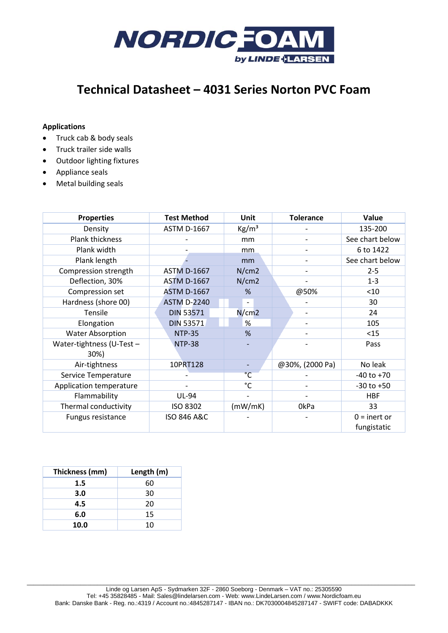

# **Technical Datasheet – 4031 Series Norton PVC Foam**

## **Applications**

- Truck cab & body seals
- Truck trailer side walls
- Outdoor lighting fixtures
- Appliance seals
- Metal building seals

| <b>Properties</b>                 | <b>Test Method</b>     | Unit                         | <b>Tolerance</b>         | Value                         |
|-----------------------------------|------------------------|------------------------------|--------------------------|-------------------------------|
| Density                           | <b>ASTM D-1667</b>     | $\text{Kg/m}^3$              |                          | 135-200                       |
| <b>Plank thickness</b>            |                        | mm                           |                          | See chart below               |
| Plank width                       |                        | mm                           |                          | 6 to 1422                     |
| Plank length                      |                        | mm                           |                          | See chart below               |
| Compression strength              | <b>ASTM D-1667</b>     | N/cm2                        | $\overline{\phantom{a}}$ | $2 - 5$                       |
| Deflection, 30%                   | <b>ASTM D-1667</b>     | N/cm2                        |                          | $1 - 3$                       |
| Compression set                   | <b>ASTM D-1667</b>     | %                            | @50%                     | < 10                          |
| Hardness (shore 00)               | <b>ASTM D-2240</b>     | $\blacksquare$               |                          | 30                            |
| Tensile                           | <b>DIN 53571</b>       | N/cm2                        |                          | 24                            |
| Elongation                        | <b>DIN 53571</b>       | %                            | $\overline{\phantom{a}}$ | 105                           |
| <b>Water Absorption</b>           | <b>NTP-35</b>          | %                            |                          | <15                           |
| Water-tightness (U-Test -<br>30%) | <b>NTP-38</b>          |                              |                          | Pass                          |
| Air-tightness                     | 10PRT128               | $\qquad \qquad \blacksquare$ | @30%, (2000 Pa)          | No leak                       |
| Service Temperature               |                        | $\overline{C}$               |                          | $-40$ to $+70$                |
| Application temperature           |                        | °C                           |                          | $-30$ to $+50$                |
| Flammability                      | <b>UL-94</b>           |                              |                          | <b>HBF</b>                    |
| Thermal conductivity              | ISO 8302               | (mW/mK)                      | 0kPa                     | 33                            |
| Fungus resistance                 | <b>ISO 846 A&amp;C</b> |                              |                          | $0 =$ inert or<br>fungistatic |

| Thickness (mm) | Length (m) |  |  |
|----------------|------------|--|--|
| 1.5            | 60         |  |  |
| 3.0            | 30         |  |  |
| 4.5            | 20         |  |  |
| 6.0            | 15         |  |  |
| 10.0           | 10         |  |  |